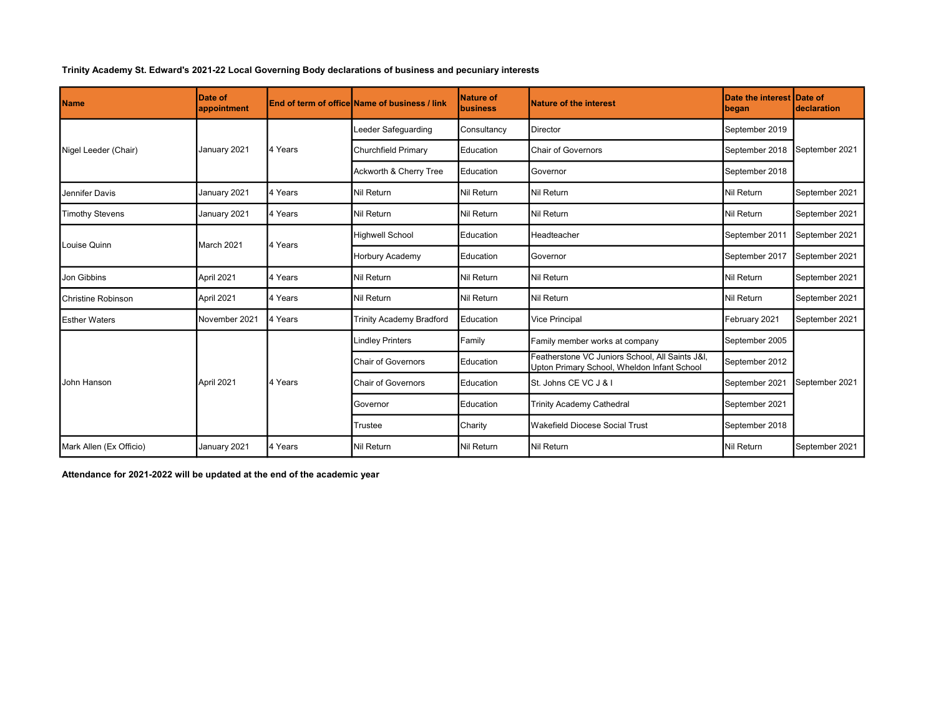## Trinity Academy St. Edward's 2021-22 Local Governing Body declarations of business and pecuniary interests

| <b>Name</b>               | Date of<br>appointment |         | <b>End of term of office Name of business / link</b> | Nature of<br><b>business</b> | <b>Nature of the interest</b>                                                                  | Date the interest Date of<br>began | <b>Ideclaration</b> |  |
|---------------------------|------------------------|---------|------------------------------------------------------|------------------------------|------------------------------------------------------------------------------------------------|------------------------------------|---------------------|--|
| Nigel Leeder (Chair)      | January 2021           | 4 Years | Leeder Safequarding                                  | Consultancy                  | Director                                                                                       | September 2019                     | September 2021      |  |
|                           |                        |         | <b>Churchfield Primary</b>                           | Education                    | <b>Chair of Governors</b>                                                                      | September 2018                     |                     |  |
|                           |                        |         | Ackworth & Cherry Tree                               | Education                    | Governor                                                                                       | September 2018                     |                     |  |
| Jennifer Davis            | January 2021           | 4 Years | Nil Return                                           | <b>Nil Return</b>            | Nil Return                                                                                     | <b>Nil Return</b>                  | September 2021      |  |
| <b>Timothy Stevens</b>    | January 2021           | 4 Years | Nil Return                                           | Nil Return                   | Nil Return                                                                                     | <b>Nil Return</b>                  | September 2021      |  |
| Louise Quinn              | March 2021             | 4 Years | <b>Highwell School</b>                               | Education                    | Headteacher                                                                                    | September 2011                     | September 2021      |  |
|                           |                        |         | Horbury Academy                                      | Education                    | Governor                                                                                       | September 2017                     | September 2021      |  |
| Jon Gibbins               | April 2021             | 4 Years | Nil Return                                           | Nil Return                   | Nil Return                                                                                     | Nil Return                         | September 2021      |  |
| <b>Christine Robinson</b> | April 2021             | 4 Years | Nil Return                                           | <b>Nil Return</b>            | Nil Return                                                                                     | <b>Nil Return</b>                  | September 2021      |  |
| <b>Esther Waters</b>      | November 2021          | 4 Years | <b>Trinity Academy Bradford</b>                      | Education                    | <b>Vice Principal</b>                                                                          | February 2021                      | September 2021      |  |
| John Hanson               | April 2021             | 4 Years | <b>Lindley Printers</b>                              | Family                       | Family member works at company                                                                 | September 2005                     | September 2021      |  |
|                           |                        |         | <b>Chair of Governors</b>                            | Education                    | Featherstone VC Juniors School, All Saints J&I.<br>Upton Primary School, Wheldon Infant School | September 2012                     |                     |  |
|                           |                        |         | <b>Chair of Governors</b>                            | Education                    | St. Johns CE VC J & I                                                                          | September 2021                     |                     |  |
|                           |                        |         | Governor                                             | Education                    | <b>Trinity Academy Cathedral</b>                                                               | September 2021                     |                     |  |
|                           |                        |         | Trustee                                              | Charity                      | <b>Wakefield Diocese Social Trust</b>                                                          | September 2018                     |                     |  |
| Mark Allen (Ex Officio)   | January 2021           | 4 Years | Nil Return                                           | <b>Nil Return</b>            | Nil Return                                                                                     | <b>Nil Return</b>                  | September 2021      |  |

Attendance for 2021-2022 will be updated at the end of the academic year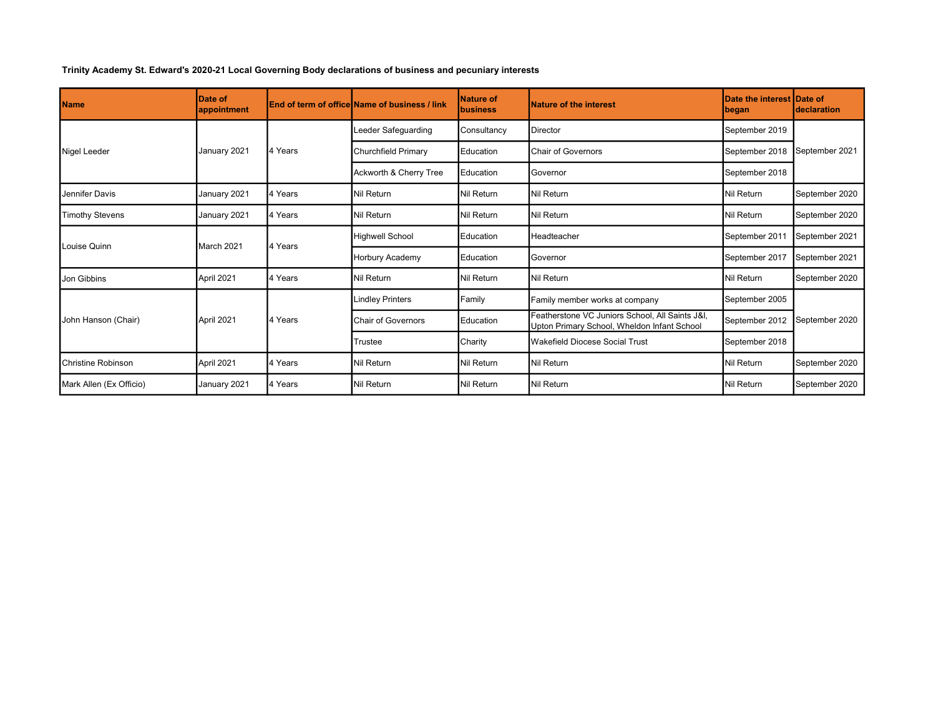## Trinity Academy St. Edward's 2020-21 Local Governing Body declarations of business and pecuniary interests

| <b>Name</b>             | <b>Date of</b><br>appointment |         | <b>IEnd of term of officeIName of business / link</b> | Nature of<br>Ibusiness | Nature of the interest                                                                         | Date the interest Date of<br>began | <b>Ideclaration</b> |  |
|-------------------------|-------------------------------|---------|-------------------------------------------------------|------------------------|------------------------------------------------------------------------------------------------|------------------------------------|---------------------|--|
| Nigel Leeder            | January 2021                  | 4 Years | Leeder Safeguarding                                   | Consultancy            | Director                                                                                       | September 2019                     | September 2021      |  |
|                         |                               |         | Churchfield Primary                                   | Education              | <b>Chair of Governors</b>                                                                      | September 2018                     |                     |  |
|                         |                               |         | Ackworth & Cherry Tree                                | Education              | Governor                                                                                       | September 2018                     |                     |  |
| Jennifer Davis          | January 2021                  | 4 Years | Nil Return                                            | Nil Return             | Nil Return                                                                                     | Nil Return                         | September 2020      |  |
| <b>Timothy Stevens</b>  | January 2021                  | 4 Years | Nil Return                                            | Nil Return             | Nil Return                                                                                     | Nil Return                         | September 2020      |  |
| Louise Quinn            | March 2021                    | 4 Years | Highwell School                                       | Education              | <b>I</b> Headteacher                                                                           | September 201                      | September 2021      |  |
|                         |                               |         | Horbury Academy                                       | Education              | Governor                                                                                       | September 2017                     | September 2021      |  |
| Jon Gibbins             | April 2021                    | 4 Years | Nil Return                                            | Nil Return             | Nil Return                                                                                     | Nil Return                         | September 2020      |  |
| John Hanson (Chair)     | April 2021                    | 4 Years | <b>Lindley Printers</b>                               | Family                 | Family member works at company                                                                 | September 2005                     | September 2020      |  |
|                         |                               |         | <b>Chair of Governors</b>                             | Education              | Featherstone VC Juniors School, All Saints J&I,<br>Upton Primary School, Wheldon Infant School | September 2012                     |                     |  |
|                         |                               |         | <b>Trustee</b>                                        | Charity                | Wakefield Diocese Social Trust                                                                 | September 2018                     |                     |  |
| Christine Robinson      | April 2021                    | 4 Years | Nil Return                                            | Nil Return             | Nil Return                                                                                     | Nil Return                         | September 2020      |  |
| Mark Allen (Ex Officio) | January 2021                  | 4 Years | Nil Return                                            | Nil Return             | Nil Return                                                                                     | Nil Return                         | September 2020      |  |